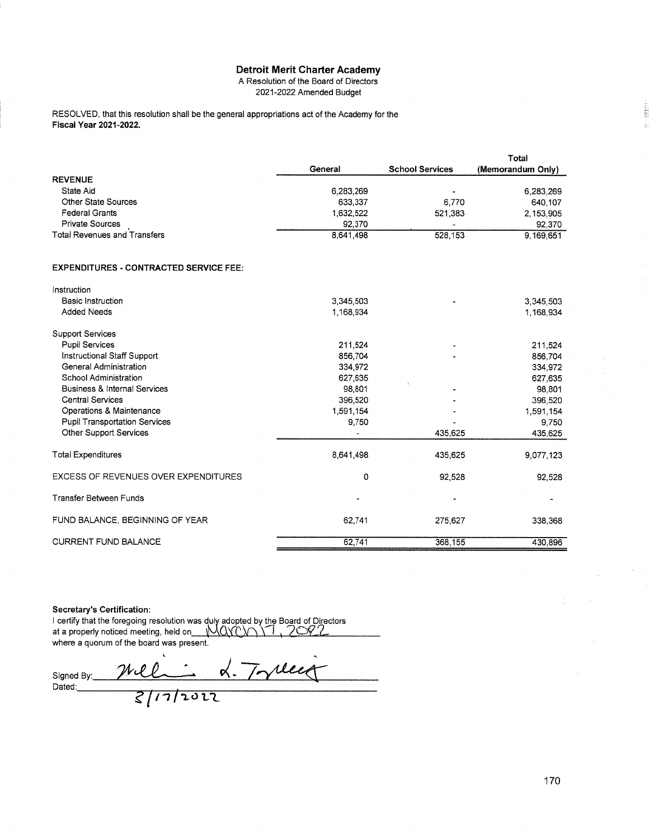## **Detroit Merit Charter Academy**

A Resolution of the Board of Directors 2021-2022 Amended Budget

RESOLVED, that this resolution shall be the general appropriations act of the Academy for the **Fiscal Year 2021-2022.** 

|                                               |           |                        | Total             |
|-----------------------------------------------|-----------|------------------------|-------------------|
|                                               | General   | <b>School Services</b> | (Memorandum Only) |
| <b>REVENUE</b>                                |           |                        |                   |
| State Aid                                     | 6,283,269 |                        | 6,283,269         |
| <b>Other State Sources</b>                    | 633,337   | 6,770                  | 640,107           |
| <b>Federal Grants</b>                         | 1,632,522 | 521,383                | 2,153,905         |
| <b>Private Sources</b>                        | 92,370    |                        | 92,370            |
| <b>Total Revenues and Transfers</b>           | 8,641,498 | 528,153                | 9,169,651         |
| <b>EXPENDITURES - CONTRACTED SERVICE FEE:</b> |           |                        |                   |
| Instruction                                   |           |                        |                   |
| <b>Basic Instruction</b>                      | 3,345,503 |                        | 3,345,503         |
| <b>Added Needs</b>                            | 1,168,934 |                        | 1,168,934         |
| <b>Support Services</b>                       |           |                        |                   |
| <b>Pupil Services</b>                         | 211,524   |                        | 211.524           |
| Instructional Staff Support                   | 856,704   |                        | 856,704           |
| <b>General Administration</b>                 | 334,972   |                        | 334,972           |
| <b>School Administration</b>                  | 627,635   |                        | 627,635           |
| <b>Business &amp; Internal Services</b>       | 98,801    |                        | 98,801            |
| <b>Central Services</b>                       | 396,520   |                        | 396,520           |
| Operations & Maintenance                      | 1,591,154 |                        | 1,591,154         |
| <b>Pupil Transportation Services</b>          | 9,750     |                        | 9,750             |
| Other Support Services                        |           | 435,625                | 435,625           |
| <b>Total Expenditures</b>                     | 8,641,498 | 435,625                | 9,077,123         |
| <b>EXCESS OF REVENUES OVER EXPENDITURES</b>   | 0         | 92,528                 | 92,528            |
| <b>Transfer Between Funds</b>                 |           |                        |                   |
| FUND BALANCE, BEGINNING OF YEAR               | 62,741    | 275,627                | 338,368           |
| <b>CURRENT FUND BALANCE</b>                   | 62,741    | 368,155                | 430,896           |

## **Secretary's Certification:**

I certify that the foregoing resolution was duly adopted by the Board of Directors<br>at a properly noticed meeting, held on MOXON 1, 2002 where a quorum of the board was present.

mel 2 17 rues Signed By: Dated: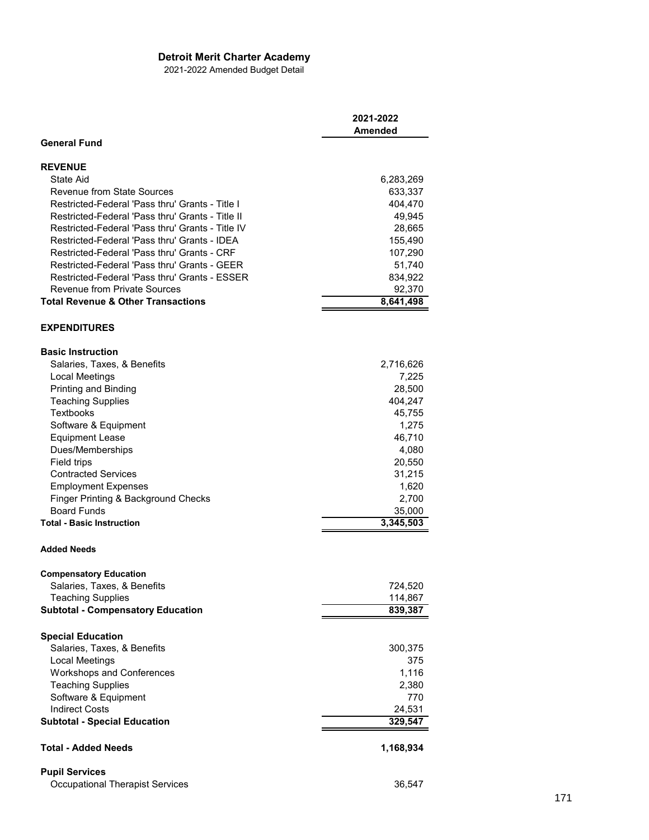## **Detroit Merit Charter Academy**

2021-2022 Amended Budget Detail

|                                                  | 2021-2022<br>Amended |
|--------------------------------------------------|----------------------|
| <b>General Fund</b>                              |                      |
| <b>REVENUE</b>                                   |                      |
| State Aid                                        | 6,283,269            |
| Revenue from State Sources                       | 633,337              |
| Restricted-Federal 'Pass thru' Grants - Title I  | 404,470              |
| Restricted-Federal 'Pass thru' Grants - Title II | 49,945               |
| Restricted-Federal 'Pass thru' Grants - Title IV | 28,665               |
| Restricted-Federal 'Pass thru' Grants - IDEA     | 155,490              |
| Restricted-Federal 'Pass thru' Grants - CRF      | 107,290              |
| Restricted-Federal 'Pass thru' Grants - GEER     | 51,740               |
| Restricted-Federal 'Pass thru' Grants - ESSER    | 834,922              |
| <b>Revenue from Private Sources</b>              | 92,370               |
| <b>Total Revenue &amp; Other Transactions</b>    | 8,641,498            |
|                                                  |                      |
| <b>EXPENDITURES</b>                              |                      |
| <b>Basic Instruction</b>                         |                      |
| Salaries, Taxes, & Benefits                      | 2,716,626            |
| Local Meetings                                   | 7,225                |
| Printing and Binding                             | 28,500               |
| <b>Teaching Supplies</b>                         | 404,247              |
| Textbooks                                        | 45,755               |
| Software & Equipment                             | 1,275                |
| <b>Equipment Lease</b>                           | 46,710               |
| Dues/Memberships                                 | 4,080                |
| Field trips                                      | 20,550               |
| <b>Contracted Services</b>                       | 31,215               |
| <b>Employment Expenses</b>                       | 1,620                |
| Finger Printing & Background Checks              | 2,700                |
| <b>Board Funds</b>                               | 35,000               |
| <b>Total - Basic Instruction</b>                 | 3,345,503            |
| <b>Added Needs</b>                               |                      |
| <b>Compensatory Education</b>                    |                      |
| Salaries, Taxes, & Benefits                      | 724,520              |
| <b>Teaching Supplies</b>                         | 114,867              |
| <b>Subtotal - Compensatory Education</b>         | 839,387              |
| <b>Special Education</b>                         |                      |
| Salaries, Taxes, & Benefits                      | 300,375              |
| Local Meetings                                   | 375                  |
| <b>Workshops and Conferences</b>                 | 1,116                |
| <b>Teaching Supplies</b>                         | 2,380                |
| Software & Equipment                             | 770                  |
| <b>Indirect Costs</b>                            | 24,531               |
| <b>Subtotal - Special Education</b>              | 329,547              |
| <b>Total - Added Needs</b>                       | 1,168,934            |
|                                                  |                      |
| <b>Pupil Services</b>                            |                      |
| <b>Occupational Therapist Services</b>           | 36,547               |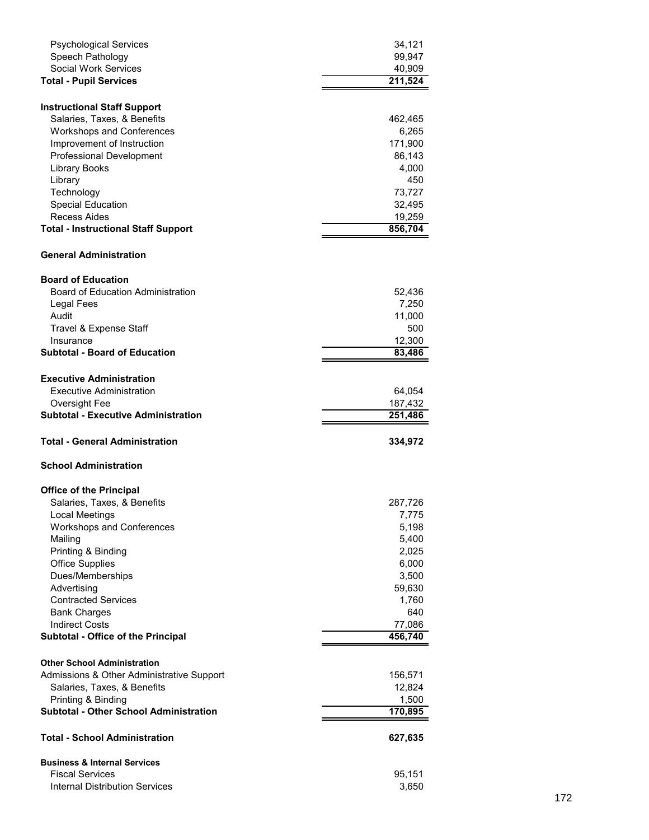| <b>Psychological Services</b>                                     | 34,121         |
|-------------------------------------------------------------------|----------------|
| Speech Pathology                                                  | 99,947         |
| <b>Social Work Services</b>                                       | 40,909         |
| <b>Total - Pupil Services</b>                                     | 211,524        |
|                                                                   |                |
| <b>Instructional Staff Support</b>                                |                |
| Salaries, Taxes, & Benefits                                       | 462,465        |
| <b>Workshops and Conferences</b>                                  | 6,265          |
| Improvement of Instruction                                        | 171,900        |
| <b>Professional Development</b>                                   | 86,143         |
| <b>Library Books</b>                                              | 4,000          |
| Library                                                           | 450            |
| Technology                                                        | 73,727         |
| Special Education                                                 | 32,495         |
| Recess Aides                                                      | 19,259         |
| <b>Total - Instructional Staff Support</b>                        | 856,704        |
| <b>General Administration</b>                                     |                |
| <b>Board of Education</b>                                         |                |
| <b>Board of Education Administration</b>                          | 52,436         |
| Legal Fees                                                        | 7,250          |
| Audit                                                             | 11,000         |
|                                                                   | 500            |
| Travel & Expense Staff                                            |                |
| Insurance<br><b>Subtotal - Board of Education</b>                 | 12,300         |
|                                                                   | 83,486         |
| <b>Executive Administration</b>                                   |                |
| Executive Administration                                          | 64,054         |
| Oversight Fee                                                     | 187,432        |
| <b>Subtotal - Executive Administration</b>                        |                |
|                                                                   | 251,486        |
|                                                                   |                |
| <b>Total - General Administration</b>                             | 334,972        |
| <b>School Administration</b>                                      |                |
|                                                                   |                |
| <b>Office of the Principal</b>                                    |                |
| Salaries, Taxes, & Benefits                                       | 287,726        |
| <b>Local Meetings</b>                                             | 7,775<br>5,198 |
| Workshops and Conferences                                         |                |
| Mailing                                                           | 5,400          |
| Printing & Binding                                                | 2,025          |
| <b>Office Supplies</b>                                            | 6,000          |
| Dues/Memberships                                                  | 3,500          |
| Advertising                                                       | 59,630         |
| <b>Contracted Services</b>                                        | 1,760          |
| <b>Bank Charges</b>                                               | 640            |
| <b>Indirect Costs</b>                                             | 77,086         |
| Subtotal - Office of the Principal                                | 456,740        |
| <b>Other School Administration</b>                                |                |
| Admissions & Other Administrative Support                         | 156,571        |
| Salaries, Taxes, & Benefits                                       | 12,824         |
| Printing & Binding                                                | 1,500          |
| <b>Subtotal - Other School Administration</b>                     | 170,895        |
| <b>Total - School Administration</b>                              | 627,635        |
|                                                                   |                |
| <b>Business &amp; Internal Services</b><br><b>Fiscal Services</b> | 95,151         |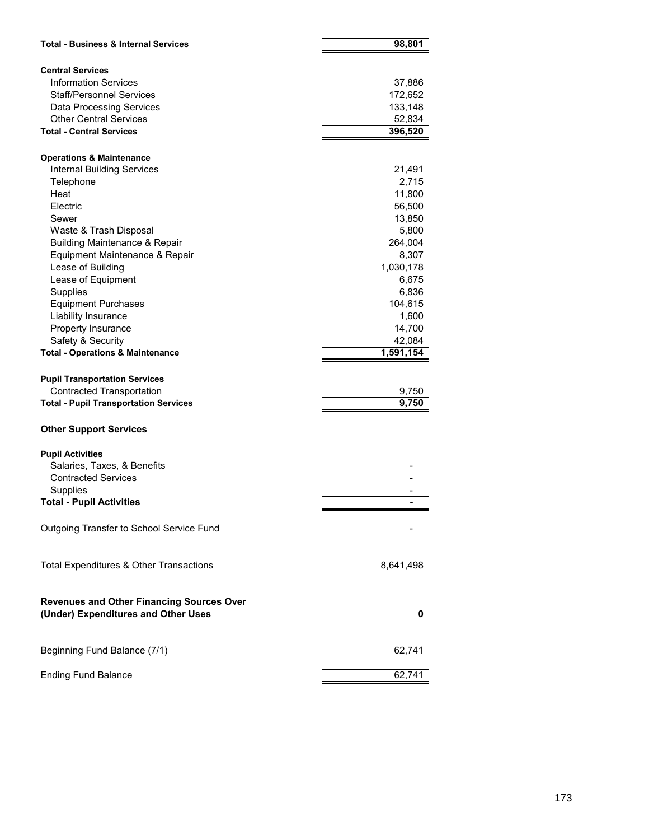| <b>Total - Business &amp; Internal Services</b>                                         | 98,801    |
|-----------------------------------------------------------------------------------------|-----------|
|                                                                                         |           |
| <b>Central Services</b>                                                                 |           |
| <b>Information Services</b>                                                             | 37,886    |
| <b>Staff/Personnel Services</b>                                                         | 172,652   |
| <b>Data Processing Services</b>                                                         | 133,148   |
| <b>Other Central Services</b>                                                           | 52,834    |
| <b>Total - Central Services</b>                                                         | 396,520   |
| <b>Operations &amp; Maintenance</b>                                                     |           |
| <b>Internal Building Services</b>                                                       | 21,491    |
| Telephone                                                                               | 2,715     |
| Heat                                                                                    | 11,800    |
| Electric                                                                                | 56,500    |
| Sewer                                                                                   | 13,850    |
| Waste & Trash Disposal                                                                  | 5,800     |
| <b>Building Maintenance &amp; Repair</b>                                                | 264,004   |
| Equipment Maintenance & Repair                                                          | 8,307     |
| Lease of Building                                                                       | 1,030,178 |
| Lease of Equipment                                                                      | 6,675     |
| Supplies                                                                                | 6,836     |
| <b>Equipment Purchases</b>                                                              | 104,615   |
| Liability Insurance                                                                     | 1,600     |
| Property Insurance                                                                      | 14,700    |
| Safety & Security                                                                       | 42,084    |
| <b>Total - Operations &amp; Maintenance</b>                                             | 1,591,154 |
|                                                                                         |           |
| <b>Pupil Transportation Services</b>                                                    |           |
| <b>Contracted Transportation</b>                                                        | 9,750     |
| <b>Total - Pupil Transportation Services</b>                                            | 9,750     |
| <b>Other Support Services</b>                                                           |           |
| <b>Pupil Activities</b>                                                                 |           |
| Salaries, Taxes, & Benefits                                                             |           |
| <b>Contracted Services</b>                                                              |           |
| Supplies                                                                                |           |
| <b>Total - Pupil Activities</b>                                                         |           |
|                                                                                         |           |
| Outgoing Transfer to School Service Fund                                                |           |
| Total Expenditures & Other Transactions                                                 | 8,641,498 |
| <b>Revenues and Other Financing Sources Over</b><br>(Under) Expenditures and Other Uses | 0         |
|                                                                                         |           |
| Beginning Fund Balance (7/1)                                                            | 62,741    |
| <b>Ending Fund Balance</b>                                                              | 62,741    |